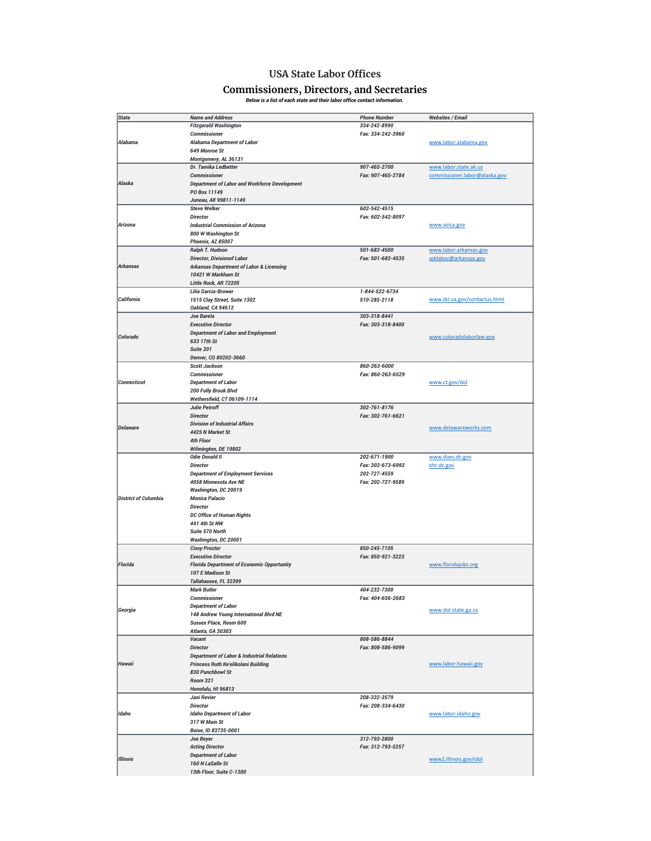## **USA State Labor Offices**

## **Commissioners, Directors, and Secretaries** *Below is a list of each state and their labor office contact information.*

| <b>State</b>                | <b>Name and Address</b>                               | <b>Phone Number</b> |                               |
|-----------------------------|-------------------------------------------------------|---------------------|-------------------------------|
|                             |                                                       |                     | <b>Websites / Email</b>       |
|                             | <b>Fitzgerald Washington</b>                          | 334-242-8990        |                               |
|                             | <b>Commissioner</b>                                   | Fax: 334-242-3960   |                               |
| Alabama                     | <b>Alabama Department of Labor</b>                    |                     | www.labor.alabama.gov         |
|                             | 649 Monroe St                                         |                     |                               |
|                             | Montgomery, AL 36131                                  |                     |                               |
|                             | Dr. Tamika Ledbetter                                  | 907-465-2700        | www.labor.state.ak.us         |
|                             | <b>Commissioner</b>                                   |                     |                               |
|                             |                                                       | Fax: 907-465-2784   | commissioner.labor@alaska.gov |
| Alaska                      | <b>Department of Labor and Workforce Development</b>  |                     |                               |
|                             | PO Box 11149                                          |                     |                               |
|                             | Juneau, AK 99811-1149                                 |                     |                               |
|                             | <b>Steve Welker</b>                                   | 602-542-4515        |                               |
|                             | <b>Director</b>                                       | Fax: 602-542-8097   |                               |
| Arizona                     | <b>Industrial Commission of Arizona</b>               |                     | www.azica.gov                 |
|                             | 800 W Washington St                                   |                     |                               |
|                             |                                                       |                     |                               |
|                             | Phoenix, AZ 85007                                     |                     |                               |
|                             | Ralph T. Hudson                                       | 501-682-4500        | www.labor.arkansas.gov        |
|                             | <b>Director, Divisionof Labor</b>                     | Fax: 501-682-4535   | asklabor@arkansas.gov         |
| Arkansas                    | <b>Arkansas Department of Labor &amp; Licensing</b>   |                     |                               |
|                             | 10421 W Markham St                                    |                     |                               |
|                             | Little Rock, AR 72205                                 |                     |                               |
|                             | Lilia Garcia-Brower                                   | 1-844-522-6734      |                               |
|                             |                                                       |                     |                               |
| California                  | 1515 Clay Street, Suite 1302                          | 510-285-2118        | www.dir.ca.gov/contactus.html |
|                             | Oakland, CA 94612                                     |                     |                               |
|                             | Joe Barela                                            | 303-318-8441        |                               |
|                             | <b>Executive Director</b>                             | Fax: 303-318-8400   |                               |
|                             | <b>Department of Labor and Employment</b>             |                     |                               |
| Colorado                    | 633 17th St                                           |                     | www.coloradolaborlaw.gov      |
|                             |                                                       |                     |                               |
|                             | Suite 201                                             |                     |                               |
|                             | Denver, CO 80202-3660                                 |                     |                               |
|                             | <b>Scott Jackson</b>                                  | 860-263-6000        |                               |
|                             | <b>Commissioner</b>                                   | Fax: 860-263-6529   |                               |
| <b>Connecticut</b>          | <b>Department of Labor</b>                            |                     | www.ct.gov/dol                |
|                             | 200 Folly Brook Blvd                                  |                     |                               |
|                             | Wethersfield, CT 06109-1114                           |                     |                               |
|                             |                                                       |                     |                               |
|                             | <b>Julie Petroff</b>                                  | 302-761-8176        |                               |
|                             | <b>Director</b>                                       | Fax: 302-761-6621   |                               |
| <b>Delaware</b>             | <b>Division of Industrial Affairs</b>                 |                     |                               |
|                             | 4425 N Market St                                      |                     | www.delawareworks.com         |
|                             | 4th Floor                                             |                     |                               |
|                             | Wilmington, DE 19802                                  |                     |                               |
|                             | <b>Odie Donald II</b>                                 | 202-671-1900        | www.does.dc.gov               |
|                             |                                                       |                     |                               |
|                             | <b>Director</b>                                       | Fax: 202-673-6993   | ohr.dc.gov                    |
|                             | <b>Department of Employment Services</b>              | 202-727-4559        |                               |
|                             | 4058 Minnesota Ave NE                                 | Fax: 202-727-9589   |                               |
|                             | Washington, DC 20019                                  |                     |                               |
| <b>District of Columbia</b> | <b>Monica Palacio</b>                                 |                     |                               |
|                             | <b>Director</b>                                       |                     |                               |
|                             | <b>DC Office of Human Rights</b>                      |                     |                               |
|                             |                                                       |                     |                               |
|                             | 441 4th St NW                                         |                     |                               |
|                             | Suite 570 North                                       |                     |                               |
|                             | Washington, DC 20001                                  |                     |                               |
|                             | <b>Cissy Proctor</b>                                  | 850-245-7105        |                               |
|                             | <b>Executive Director</b>                             | Fax: 850-921-3223   |                               |
| Florida                     | <b>Florida Department of Economic Opportunity</b>     |                     | www.floridajobs.org           |
|                             |                                                       |                     |                               |
|                             | 107 E Madison St                                      |                     |                               |
|                             | Tallahassee, FL 32399                                 |                     |                               |
|                             | <b>Mark Butler</b>                                    | 404-232-7300        |                               |
|                             | <b>Commissioner</b>                                   | Fax: 404-656-2683   |                               |
|                             | <b>Department of Labor</b>                            |                     |                               |
| Georgia                     | 148 Andrew Young International Blvd NE                |                     | www.dol.state.ga.us           |
|                             | Sussex Place, Room 600                                |                     |                               |
|                             |                                                       |                     |                               |
|                             | Atlanta, GA 30303                                     |                     |                               |
|                             | Vacant                                                | 808-586-8844        |                               |
|                             | <b>Director</b>                                       | Fax: 808-586-9099   |                               |
|                             | <b>Department of Labor &amp; Industrial Relations</b> |                     |                               |
| Hawaii                      | Princess Ruth Ke'elikolani Building                   |                     | www.labor.hawaii.gov          |
|                             | 830 Punchbowl St                                      |                     |                               |
|                             |                                                       |                     |                               |
|                             | <b>Room 321</b>                                       |                     |                               |
|                             | Honolulu, HI 96813                                    |                     |                               |
|                             | Jani Revier                                           | 208-332-3579        |                               |
|                             | <b>Director</b>                                       | Fax: 208-334-6430   |                               |
| Idaho                       | <b>Idaho Department of Labor</b>                      |                     | www.labor.idaho.gov           |
|                             | 317 W Main St                                         |                     |                               |
|                             |                                                       |                     |                               |
|                             | Boise, ID 83735-0001                                  |                     |                               |
|                             | Joe Beyer                                             | 312-793-2800        |                               |
|                             | <b>Acting Director</b>                                | Fax: 312-793-5257   |                               |
|                             | <b>Department of Labor</b>                            |                     |                               |
| <b>Illinois</b>             | 160 N LaSalle St                                      |                     | www2.illinois.gov/idol        |
|                             | 13th Floor, Suite C-1300                              |                     |                               |
|                             |                                                       |                     |                               |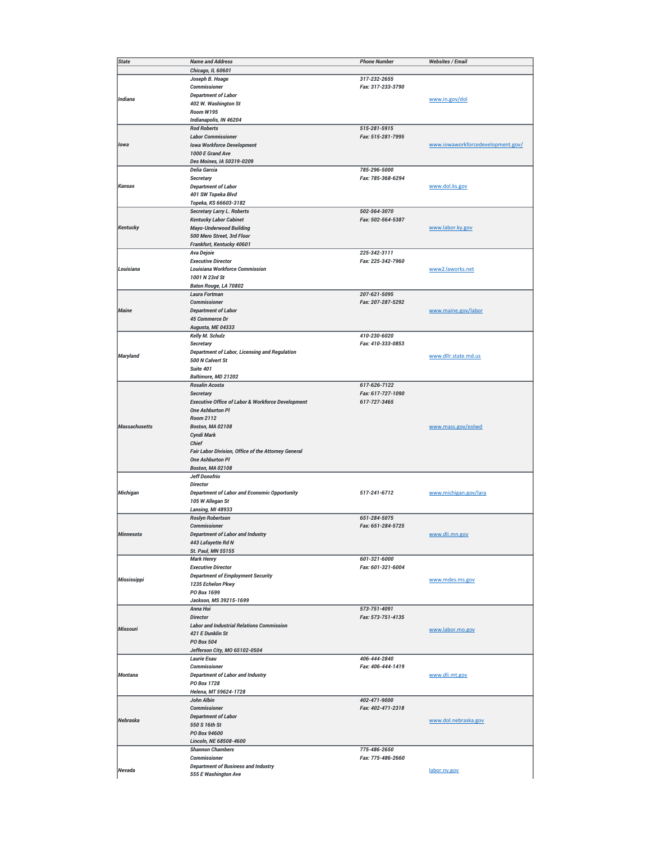| <b>State</b>         | <b>Name and Address</b>                                            | <b>Phone Number</b> | <b>Websites / Email</b>           |
|----------------------|--------------------------------------------------------------------|---------------------|-----------------------------------|
|                      | Chicago, IL 60601                                                  |                     |                                   |
|                      | Joseph B. Hoage                                                    | 317-232-2655        |                                   |
|                      | <b>Commissioner</b>                                                | Fax: 317-233-3790   |                                   |
| Indiana              | <b>Department of Labor</b>                                         |                     | www.in.gov/dol                    |
|                      | 402 W. Washington St                                               |                     |                                   |
|                      | Room W195                                                          |                     |                                   |
|                      | Indianapolis, IN 46204                                             |                     |                                   |
|                      | <b>Rod Roberts</b>                                                 | 515-281-5915        |                                   |
|                      | <b>Labor Commissioner</b>                                          | Fax: 515-281-7995   |                                   |
| lowa                 | <b>Iowa Workforce Development</b>                                  |                     | www.iowaworkforcedevelopment.gov/ |
|                      | 1000 E Grand Ave                                                   |                     |                                   |
|                      | Des Moines, IA 50319-0209                                          |                     |                                   |
|                      | Delia Garcia                                                       | 785-296-5000        |                                   |
|                      | <b>Secretary</b>                                                   | Fax: 785-368-6294   |                                   |
| <b>Kansas</b>        | <b>Department of Labor</b>                                         |                     | www.dol.ks.gov                    |
|                      | 401 SW Topeka Blvd                                                 |                     |                                   |
|                      | Topeka, KS 66603-3182                                              | 502-564-3070        |                                   |
|                      | <b>Secretary Larry L. Roberts</b><br><b>Kentucky Labor Cabinet</b> | Fax: 502-564-5387   |                                   |
| Kentucky             | <b>Mayo-Underwood Building</b>                                     |                     | www.labor.ky.gov                  |
|                      | 500 Mero Street, 3rd Floor                                         |                     |                                   |
|                      | Frankfort, Kentucky 40601                                          |                     |                                   |
|                      | Ava Dejoie                                                         | 225-342-3111        |                                   |
|                      | <b>Executive Director</b>                                          | Fax: 225-342-7960   |                                   |
| Louisiana            | <b>Louisiana Workforce Commission</b>                              |                     | www2.laworks.net                  |
|                      | 1001 N 23rd St                                                     |                     |                                   |
|                      | Baton Rouge, LA 70802                                              |                     |                                   |
|                      | Laura Fortman                                                      | 207-621-5095        |                                   |
|                      | <b>Commissioner</b>                                                | Fax: 207-287-5292   |                                   |
| <b>Maine</b>         | <b>Department of Labor</b>                                         |                     | www.maine.gov/labor               |
|                      | 45 Commerce Dr                                                     |                     |                                   |
|                      | Augusta, ME 04333                                                  |                     |                                   |
|                      | Kelly M. Schulz                                                    | 410-230-6020        |                                   |
|                      | <b>Secretary</b>                                                   | Fax: 410-333-0853   |                                   |
|                      | Department of Labor, Licensing and Regulation                      |                     |                                   |
| Maryland             | 500 N Calvert St                                                   |                     | www.dllr.state.md.us              |
|                      | Suite 401                                                          |                     |                                   |
|                      | Baltimore, MD 21202                                                |                     |                                   |
|                      | Rosalin Acosta                                                     | 617-626-7122        |                                   |
|                      | <b>Secretary</b>                                                   | Fax: 617-727-1090   |                                   |
|                      | <b>Executive Office of Labor &amp; Workforce Development</b>       | 617-727-3465        |                                   |
|                      | <b>One Ashburton PI</b>                                            |                     |                                   |
|                      | <b>Room 2112</b>                                                   |                     |                                   |
| <b>Massachusetts</b> | <b>Boston, MA 02108</b>                                            |                     | www.mass.gov/eolwd                |
|                      | Cyndi Mark                                                         |                     |                                   |
|                      | <b>Chief</b>                                                       |                     |                                   |
|                      | Fair Labor Division, Office of the Attorney General                |                     |                                   |
|                      | <b>One Ashburton PI</b>                                            |                     |                                   |
|                      | <b>Boston, MA 02108</b>                                            |                     |                                   |
|                      | <b>Jeff Donofrio</b>                                               |                     |                                   |
|                      | <b>Director</b>                                                    |                     |                                   |
| Michigan             | <b>Department of Labor and Economic Opportunity</b>                | 517-241-6712        | www.michigan.gov/lara             |
|                      | 105 W Allegan St                                                   |                     |                                   |
|                      | Lansing, MI 48933<br><b>Roslyn Robertson</b>                       | 651-284-5075        |                                   |
|                      | <b>Commissioner</b>                                                | Fax: 651-284-5725   |                                   |
| MInnesota            | Department of Labor and Industry                                   |                     | www.dli.mn.gov                    |
|                      | 443 Lafayette Rd N                                                 |                     |                                   |
|                      | St. Paul, MN 55155                                                 |                     |                                   |
|                      | <b>Mark Henry</b>                                                  | 601-321-6000        |                                   |
|                      | <b>Executive Director</b>                                          | Fax: 601-321-6004   |                                   |
|                      | <b>Department of Employment Security</b>                           |                     |                                   |
| Mississippi          | 1235 Echelon Pkwy                                                  |                     | www.mdes.ms.gov                   |
|                      | PO Box 1699                                                        |                     |                                   |
|                      | Jackson, MS 39215-1699                                             |                     |                                   |
|                      | Anna Hui                                                           | 573-751-4091        |                                   |
|                      | <b>Director</b>                                                    | Fax: 573-751-4135   |                                   |
|                      | <b>Labor and Industrial Relations Commission</b>                   |                     |                                   |
| <b>Missouri</b>      | 421 E Dunklin St                                                   |                     | www.labor.mo.gov                  |
|                      | <b>PO Box 504</b>                                                  |                     |                                   |
|                      | Jefferson City, MO 65102-0504                                      |                     |                                   |
|                      | <b>Laurie Esau</b>                                                 | 406-444-2840        |                                   |
|                      | <b>Commissioner</b>                                                | Fax: 406-444-1419   |                                   |
| <b>Montana</b>       | <b>Department of Labor and Industry</b>                            |                     | www.dli.mt.gov                    |
|                      | PO Box 1728                                                        |                     |                                   |
|                      | Helena, MT 59624-1728                                              |                     |                                   |
|                      | John Albin                                                         | 402-471-9000        |                                   |
|                      | <b>Commissioner</b>                                                | Fax: 402-471-2318   |                                   |
| Nebraska             | <b>Department of Labor</b>                                         |                     | www.dol.nebraska.gov              |
|                      | 550 S 16th St                                                      |                     |                                   |
|                      | PO Box 94600                                                       |                     |                                   |
|                      | Lincoln, NE 68508-4600                                             |                     |                                   |
|                      | <b>Shannon Chambers</b>                                            | 775-486-2650        |                                   |
|                      | <b>Commissioner</b>                                                | Fax: 775-486-2660   |                                   |
| Nevada               | <b>Department of Business and Industry</b>                         |                     | labor.nv.gov                      |
|                      | 555 E Washington Ave                                               |                     |                                   |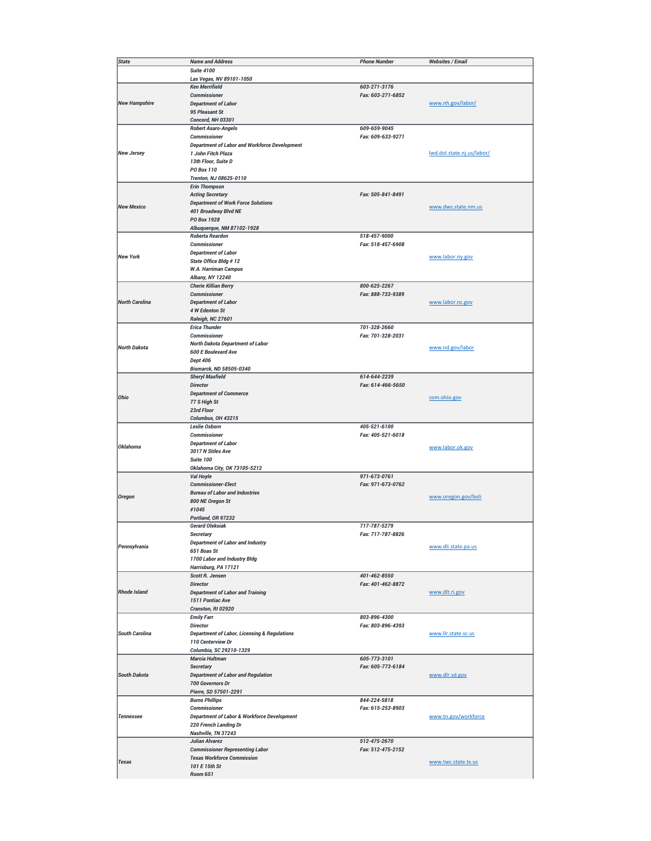| <b>State</b>          | <b>Name and Address</b>                                 | <b>Phone Number</b> | <b>Websites / Email</b>    |
|-----------------------|---------------------------------------------------------|---------------------|----------------------------|
|                       | <b>Suite 4100</b>                                       |                     |                            |
|                       | Las Vegas, NV 89101-1050                                |                     |                            |
|                       | <b>Ken Merrifield</b>                                   | 603-271-3176        |                            |
|                       | <b>Commissioner</b>                                     | Fax: 603-271-6852   |                            |
|                       |                                                         |                     |                            |
| <b>New Hampshire</b>  | <b>Department of Labor</b>                              |                     | www.nh.gov/labor/          |
|                       | 95 Pleasant St                                          |                     |                            |
|                       | Concord, NH 03301                                       |                     |                            |
|                       | Robert Asaro-Angelo                                     | 609-659-9045        |                            |
|                       | <b>Commissioner</b>                                     | Fax: 609-633-9271   |                            |
|                       | <b>Department of Labor and Workforce Development</b>    |                     |                            |
| <b>New Jersey</b>     | 1 John Fitch Plaza                                      |                     | lwd.dol.state.nj.us/labor/ |
|                       | 13th Floor, Suite D                                     |                     |                            |
|                       | <b>PO Box 110</b>                                       |                     |                            |
|                       | Trenton, NJ 08625-0110                                  |                     |                            |
|                       | <b>Erin Thompson</b>                                    |                     |                            |
|                       | <b>Acting Secretary</b>                                 | Fax: 505-841-8491   |                            |
|                       | <b>Department of Work Force Solutions</b>               |                     |                            |
| <b>New Mexico</b>     | 401 Broadway Blvd NE                                    |                     | www.dws.state.nm.us        |
|                       | PO Box 1928                                             |                     |                            |
|                       | Albuquerque, NM 87102-1928                              |                     |                            |
|                       | <b>Roberta Reardon</b>                                  | 518-457-9000        |                            |
|                       | <b>Commissioner</b>                                     | Fax: 518-457-6908   |                            |
|                       |                                                         |                     |                            |
| <b>New York</b>       | <b>Department of Labor</b>                              |                     | www.labor.ny.gov           |
|                       | State Office Bldg #12                                   |                     |                            |
|                       | <b>W.A. Harriman Campus</b>                             |                     |                            |
|                       | Albany, NY 12240                                        |                     |                            |
|                       | <b>Cherie Killian Berry</b>                             | 800-625-2267        |                            |
|                       | <b>Commissioner</b>                                     | Fax: 888-733-9389   |                            |
| <b>North Carolina</b> | <b>Department of Labor</b>                              |                     | www.labor.nc.gov           |
|                       | 4 W Edenton St                                          |                     |                            |
|                       | Raleigh, NC 27601                                       |                     |                            |
|                       | <b>Erica Thunder</b>                                    | 701-328-2660        |                            |
|                       | <b>Commissioner</b>                                     | Fax: 701-328-2031   |                            |
|                       | North Dakota Department of Labor                        |                     |                            |
| <b>North Dakota</b>   | <b>600 E Boulevard Ave</b>                              |                     | www.nd.gov/labor           |
|                       | <b>Dept 406</b>                                         |                     |                            |
|                       | Bismarck, ND 58505-0340                                 |                     |                            |
|                       | <b>Sheryl Maxfield</b>                                  | 614-644-2239        |                            |
|                       | <b>Director</b>                                         | Fax: 614-466-5650   |                            |
|                       |                                                         |                     |                            |
| Ohio                  | <b>Department of Commerce</b>                           |                     | com.ohio.gov               |
|                       | 77 S High St                                            |                     |                            |
|                       | 23rd Floor                                              |                     |                            |
|                       | Columbus, OH 43215                                      |                     |                            |
|                       | <b>Leslie Osborn</b>                                    | 405-521-6100        |                            |
|                       | <b>Commissioner</b>                                     | Fax: 405-521-6018   |                            |
| <b>Oklahoma</b>       | <b>Department of Labor</b>                              |                     | www.labor.ok.gov           |
|                       | 3017 N Stiles Ave                                       |                     |                            |
|                       | <b>Suite 100</b>                                        |                     |                            |
|                       | Oklahoma City, OK 73105-5212                            |                     |                            |
|                       | Val Hoyle                                               | 971-673-0761        |                            |
|                       | <b>Commissioner-Elect</b>                               | Fax: 971-673-0762   |                            |
|                       | <b>Bureau of Labor and Industries</b>                   |                     |                            |
| <b>Oregon</b>         | 800 NE Oregon St                                        |                     | www.oregon.gov/boli        |
|                       | #1045                                                   |                     |                            |
|                       | Portland, OR 97232                                      |                     |                            |
|                       | <b>Gerard Oleksiak</b>                                  | 717-787-5279        |                            |
|                       |                                                         | Fax: 717-787-8826   |                            |
|                       | Secretary                                               |                     |                            |
| Pennsylvania          | <b>Department of Labor and Industry</b>                 |                     | www.dli.state.pa.us        |
|                       | 651 Boas St                                             |                     |                            |
|                       | 1700 Labor and Industry Bldg                            |                     |                            |
|                       | Harrisburg, PA 17121                                    |                     |                            |
|                       | <b>Scott R. Jensen</b>                                  | 401-462-8550        |                            |
|                       | <b>Director</b>                                         | Fax: 401-462-8872   |                            |
| <b>Rhode Island</b>   | <b>Department of Labor and Training</b>                 |                     | www.dlt.ri.gov             |
|                       | 1511 Pontiac Ave                                        |                     |                            |
|                       | Cranston, RI 02920                                      |                     |                            |
|                       | <b>Emily Farr</b>                                       | 803-896-4300        |                            |
|                       | <b>Director</b>                                         | Fax: 803-896-4393   |                            |
| <b>South Carolina</b> | <b>Department of Labor, Licensing &amp; Regulations</b> |                     | www.llr.state.sc.us        |
|                       | 110 Centerview Dr                                       |                     |                            |
|                       | Columbia, SC 29210-1329                                 |                     |                            |
|                       | Marcia Hultman                                          | 605-773-3101        |                            |
|                       |                                                         |                     |                            |
|                       | <b>Secretary</b>                                        | Fax: 605-773-6184   |                            |
| <b>South Dakota</b>   | <b>Department of Labor and Regulation</b>               |                     | www.dlr.sd.gov             |
|                       | <b>700 Governors Dr</b>                                 |                     |                            |
|                       | Pierre, SD 57501-2291                                   |                     |                            |
|                       | <b>Burns Phillips</b>                                   | 844-224-5818        |                            |
|                       | <b>Commissioner</b>                                     | Fax: 615-253-8903   |                            |
| Tennessee             | Department of Labor & Workforce Development             |                     | www.tn.gov/workforce       |
|                       | 220 French Landing Dr                                   |                     |                            |
|                       | Nashville, TN 37243                                     |                     |                            |
|                       | <b>Julian Alvarez</b>                                   | 512-475-2670        |                            |
|                       | <b>Commissioner Representing Labor</b>                  | Fax: 512-475-2152   |                            |
|                       | <b>Texas Workforce Commission</b>                       |                     |                            |
| <b>Texas</b>          | 101 E 15th St                                           |                     | www.twc.state.tx.us        |
|                       | <b>Room 651</b>                                         |                     |                            |
|                       |                                                         |                     |                            |